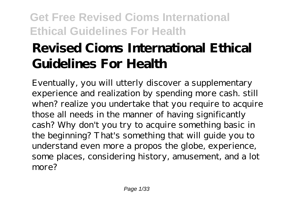# **Revised Cioms International Ethical Guidelines For Health**

Eventually, you will utterly discover a supplementary experience and realization by spending more cash. still when? realize you undertake that you require to acquire those all needs in the manner of having significantly cash? Why don't you try to acquire something basic in the beginning? That's something that will guide you to understand even more a propos the globe, experience, some places, considering history, amusement, and a lot more?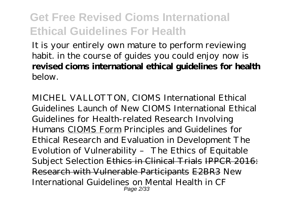It is your entirely own mature to perform reviewing habit. in the course of guides you could enjoy now is **revised cioms international ethical guidelines for health** below.

MICHEL VALLOTTON, CIOMS International Ethical Guidelines Launch of New CIOMS International Ethical Guidelines for Health-related Research Involving Humans CIOMS Form Principles and Guidelines for Ethical Research and Evaluation in Development *The Evolution of Vulnerability – The Ethics of Equitable Subject Selection* Ethics in Clinical Trials IPPCR 2016: Research with Vulnerable Participants E2BR3 *New International Guidelines on Mental Health in CF* Page 2/33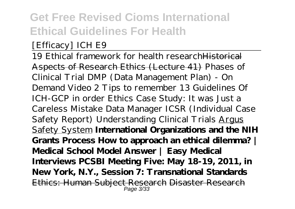#### *[Efficacy] ICH E9*

19 Ethical framework for health researchHistorical Aspects of Research Ethics (Lecture 41) *Phases of Clinical Trial* DMP (Data Management Plan) - On Demand Video 2 Tips to remember 13 Guidelines Of ICH-GCP in order Ethics Case Study: It was Just a Careless Mistake *Data Manager ICSR (Individual Case Safety Report) Understanding Clinical Trials* Argus Safety System **International Organizations and the NIH Grants Process How to approach an ethical dilemma? | Medical School Model Answer | Easy Medical Interviews PCSBI Meeting Five: May 18-19, 2011, in New York, N.Y., Session 7: Transnational Standards** Ethics: Human Subject Research Disaster Research Page 3/33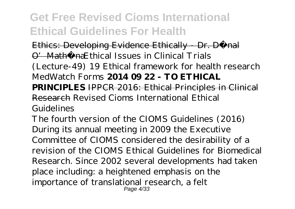Ethics: Developing Evidence Ethically - Dr. Dónal O' Mathú na Ethical Issues in Clinical Trials (Lecture-49) *19 Ethical framework for health research MedWatch Forms* **2014 09 22 - TO ETHICAL PRINCIPLES** IPPCR 2016: Ethical Principles in Clinical Research Revised Cioms International Ethical Guidelines

The fourth version of the CIOMS Guidelines (2016) During its annual meeting in 2009 the Executive Committee of CIOMS considered the desirability of a revision of the CIOMS Ethical Guidelines for Biomedical Research. Since 2002 several developments had taken place including: a heightened emphasis on the importance of translational research, a felt Page 4/33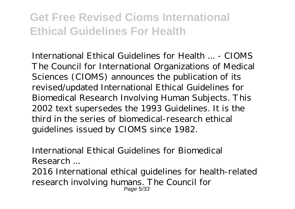International Ethical Guidelines for Health ... - CIOMS The Council for International Organizations of Medical Sciences (CIOMS) announces the publication of its revised/updated International Ethical Guidelines for Biomedical Research Involving Human Subjects. This 2002 text supersedes the 1993 Guidelines. It is the third in the series of biomedical-research ethical guidelines issued by CIOMS since 1982.

International Ethical Guidelines for Biomedical Research ...

2016 International ethical guidelines for health-related research involving humans. The Council for Page 5/33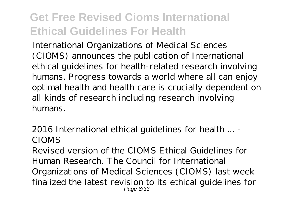International Organizations of Medical Sciences (CIOMS) announces the publication of International ethical guidelines for health-related research involving humans. Progress towards a world where all can enjoy optimal health and health care is crucially dependent on all kinds of research including research involving humans.

2016 International ethical guidelines for health ... - CIOMS

Revised version of the CIOMS Ethical Guidelines for Human Research. The Council for International Organizations of Medical Sciences (CIOMS) last week finalized the latest revision to its ethical guidelines for Page 6/33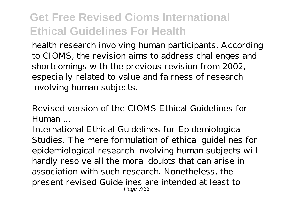health research involving human participants. According to CIOMS, the revision aims to address challenges and shortcomings with the previous revision from 2002, especially related to value and fairness of research involving human subjects.

Revised version of the CIOMS Ethical Guidelines for Human ...

International Ethical Guidelines for Epidemiological Studies. The mere formulation of ethical guidelines for epidemiological research involving human subjects will hardly resolve all the moral doubts that can arise in association with such research. Nonetheless, the present revised Guidelines are intended at least to Page 7/33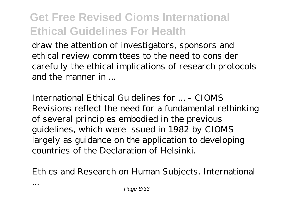draw the attention of investigators, sponsors and ethical review committees to the need to consider carefully the ethical implications of research protocols and the manner in ...

International Ethical Guidelines for ... - CIOMS Revisions reflect the need for a fundamental rethinking of several principles embodied in the previous guidelines, which were issued in 1982 by CIOMS largely as guidance on the application to developing countries of the Declaration of Helsinki.

Ethics and Research on Human Subjects. International

...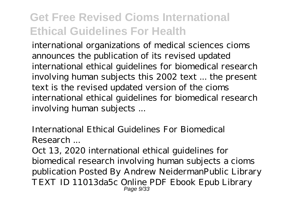international organizations of medical sciences cioms announces the publication of its revised updated international ethical guidelines for biomedical research involving human subjects this 2002 text ... the present text is the revised updated version of the cioms international ethical guidelines for biomedical research involving human subjects ...

International Ethical Guidelines For Biomedical Research ...

Oct 13, 2020 international ethical guidelines for biomedical research involving human subjects a cioms publication Posted By Andrew NeidermanPublic Library TEXT ID 11013da5c Online PDF Ebook Epub Library Page 9/33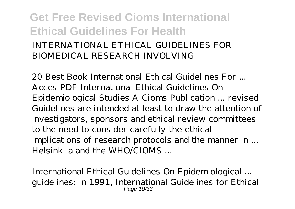#### **Get Free Revised Cioms International Ethical Guidelines For Health** INTERNATIONAL ETHICAL GUIDELINES FOR BIOMEDICAL RESEARCH INVOLVING

20 Best Book International Ethical Guidelines For ... Acces PDF International Ethical Guidelines On Epidemiological Studies A Cioms Publication ... revised Guidelines are intended at least to draw the attention of investigators, sponsors and ethical review committees to the need to consider carefully the ethical implications of research protocols and the manner in ... Helsinki a and the  $WHO/CIOMS$ 

International Ethical Guidelines On Epidemiological ... guidelines: in 1991, International Guidelines for Ethical Page 10/33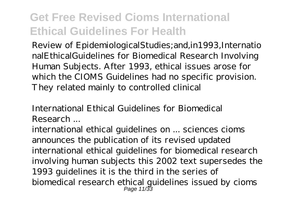Review of EpidemiologicalStudies;and,in1993,Internatio nalEthicalGuidelines for Biomedical Research Involving Human Subjects. After 1993, ethical issues arose for which the CIOMS Guidelines had no specific provision. They related mainly to controlled clinical

International Ethical Guidelines for Biomedical Research ...

international ethical guidelines on ... sciences cioms announces the publication of its revised updated international ethical guidelines for biomedical research involving human subjects this 2002 text supersedes the 1993 guidelines it is the third in the series of biomedical research ethical guidelines issued by cioms Page 11/33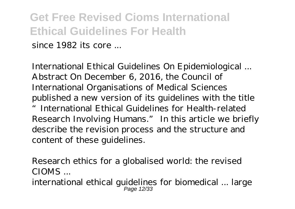since 1982 its core ...

International Ethical Guidelines On Epidemiological ... Abstract On December 6, 2016, the Council of International Organisations of Medical Sciences published a new version of its guidelines with the title "International Ethical Guidelines for Health-related Research Involving Humans." In this article we briefly describe the revision process and the structure and content of these guidelines.

Research ethics for a globalised world: the revised CIOMS ...

international ethical guidelines for biomedical ... large Page 12/33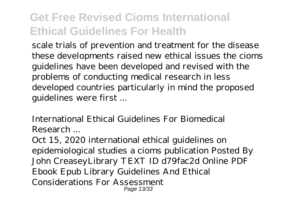scale trials of prevention and treatment for the disease these developments raised new ethical issues the cioms guidelines have been developed and revised with the problems of conducting medical research in less developed countries particularly in mind the proposed guidelines were first ...

International Ethical Guidelines For Biomedical Research ...

Oct 15, 2020 international ethical guidelines on epidemiological studies a cioms publication Posted By John CreaseyLibrary TEXT ID d79fac2d Online PDF Ebook Epub Library Guidelines And Ethical Considerations For Assessment Page 13/33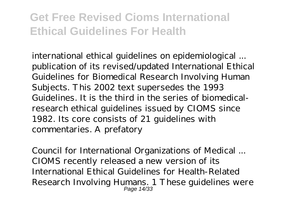international ethical guidelines on epidemiological ... publication of its revised/updated International Ethical Guidelines for Biomedical Research Involving Human Subjects. This 2002 text supersedes the 1993 Guidelines. It is the third in the series of biomedicalresearch ethical guidelines issued by CIOMS since 1982. Its core consists of 21 guidelines with commentaries. A prefatory

Council for International Organizations of Medical ... CIOMS recently released a new version of its International Ethical Guidelines for Health-Related Research Involving Humans. 1 These guidelines were Page 14/33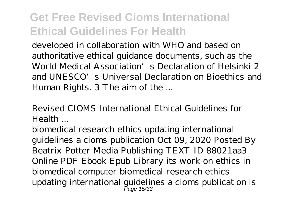developed in collaboration with WHO and based on authoritative ethical guidance documents, such as the World Medical Association's Declaration of Helsinki 2 and UNESCO's Universal Declaration on Bioethics and Human Rights. 3 The aim of the ...

Revised CIOMS International Ethical Guidelines for Health ...

biomedical research ethics updating international guidelines a cioms publication Oct 09, 2020 Posted By Beatrix Potter Media Publishing TEXT ID 88021aa3 Online PDF Ebook Epub Library its work on ethics in biomedical computer biomedical research ethics updating international guidelines a cioms publication is Page 15/33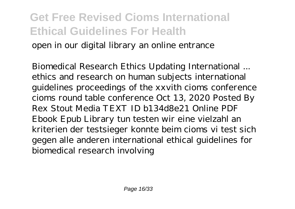open in our digital library an online entrance

Biomedical Research Ethics Updating International ... ethics and research on human subjects international guidelines proceedings of the xxvith cioms conference cioms round table conference Oct 13, 2020 Posted By Rex Stout Media TEXT ID b134d8e21 Online PDF Ebook Epub Library tun testen wir eine vielzahl an kriterien der testsieger konnte beim cioms vi test sich gegen alle anderen international ethical guidelines for biomedical research involving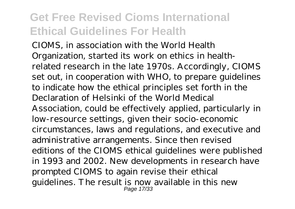CIOMS, in association with the World Health Organization, started its work on ethics in healthrelated research in the late 1970s. Accordingly, CIOMS set out, in cooperation with WHO, to prepare guidelines to indicate how the ethical principles set forth in the Declaration of Helsinki of the World Medical Association, could be effectively applied, particularly in low-resource settings, given their socio-economic circumstances, laws and regulations, and executive and administrative arrangements. Since then revised editions of the CIOMS ethical guidelines were published in 1993 and 2002. New developments in research have prompted CIOMS to again revise their ethical guidelines. The result is now available in this new Page 17/33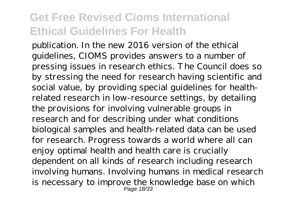publication. In the new 2016 version of the ethical guidelines, CIOMS provides answers to a number of pressing issues in research ethics. The Council does so by stressing the need for research having scientific and social value, by providing special guidelines for healthrelated research in low-resource settings, by detailing the provisions for involving vulnerable groups in research and for describing under what conditions biological samples and health-related data can be used for research. Progress towards a world where all can enjoy optimal health and health care is crucially dependent on all kinds of research including research involving humans. Involving humans in medical research is necessary to improve the knowledge base on which Page 18/33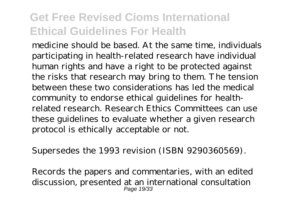medicine should be based. At the same time, individuals participating in health-related research have individual human rights and have a right to be protected against the risks that research may bring to them. The tension between these two considerations has led the medical community to endorse ethical guidelines for healthrelated research. Research Ethics Committees can use these guidelines to evaluate whether a given research protocol is ethically acceptable or not.

Supersedes the 1993 revision (ISBN 9290360569).

Records the papers and commentaries, with an edited discussion, presented at an international consultation Page 19/33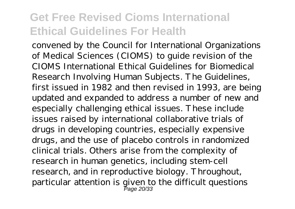convened by the Council for International Organizations of Medical Sciences (CIOMS) to guide revision of the CIOMS International Ethical Guidelines for Biomedical Research Involving Human Subjects. The Guidelines, first issued in 1982 and then revised in 1993, are being updated and expanded to address a number of new and especially challenging ethical issues. These include issues raised by international collaborative trials of drugs in developing countries, especially expensive drugs, and the use of placebo controls in randomized clinical trials. Others arise from the complexity of research in human genetics, including stem-cell research, and in reproductive biology. Throughout, particular attention is given to the difficult questions Page 20/33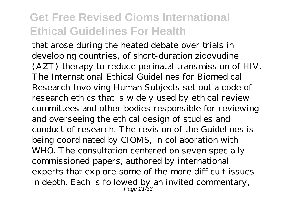that arose during the heated debate over trials in developing countries, of short-duration zidovudine (AZT) therapy to reduce perinatal transmission of HIV. The International Ethical Guidelines for Biomedical Research Involving Human Subjects set out a code of research ethics that is widely used by ethical review committees and other bodies responsible for reviewing and overseeing the ethical design of studies and conduct of research. The revision of the Guidelines is being coordinated by CIOMS, in collaboration with WHO. The consultation centered on seven specially commissioned papers, authored by international experts that explore some of the more difficult issues in depth. Each is followed by an invited commentary, Page 21/33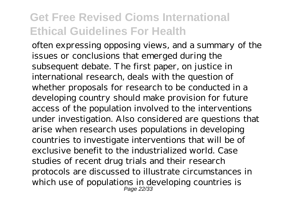often expressing opposing views, and a summary of the issues or conclusions that emerged during the subsequent debate. The first paper, on justice in international research, deals with the question of whether proposals for research to be conducted in a developing country should make provision for future access of the population involved to the interventions under investigation. Also considered are questions that arise when research uses populations in developing countries to investigate interventions that will be of exclusive benefit to the industrialized world. Case studies of recent drug trials and their research protocols are discussed to illustrate circumstances in which use of populations in developing countries is Page 22/33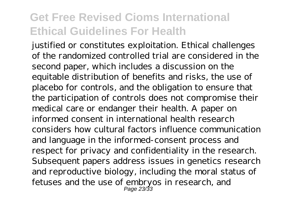justified or constitutes exploitation. Ethical challenges of the randomized controlled trial are considered in the second paper, which includes a discussion on the equitable distribution of benefits and risks, the use of placebo for controls, and the obligation to ensure that the participation of controls does not compromise their medical care or endanger their health. A paper on informed consent in international health research considers how cultural factors influence communication and language in the informed-consent process and respect for privacy and confidentiality in the research. Subsequent papers address issues in genetics research and reproductive biology, including the moral status of fetuses and the use of embryos in research, and Page 23/33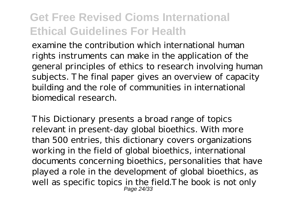examine the contribution which international human rights instruments can make in the application of the general principles of ethics to research involving human subjects. The final paper gives an overview of capacity building and the role of communities in international biomedical research.

This Dictionary presents a broad range of topics relevant in present-day global bioethics. With more than 500 entries, this dictionary covers organizations working in the field of global bioethics, international documents concerning bioethics, personalities that have played a role in the development of global bioethics, as well as specific topics in the field.The book is not only Page 24/33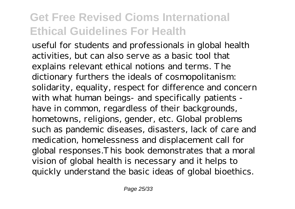useful for students and professionals in global health activities, but can also serve as a basic tool that explains relevant ethical notions and terms. The dictionary furthers the ideals of cosmopolitanism: solidarity, equality, respect for difference and concern with what human beings- and specifically patients have in common, regardless of their backgrounds, hometowns, religions, gender, etc. Global problems such as pandemic diseases, disasters, lack of care and medication, homelessness and displacement call for global responses.This book demonstrates that a moral vision of global health is necessary and it helps to quickly understand the basic ideas of global bioethics.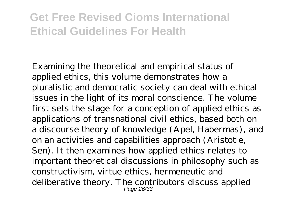Examining the theoretical and empirical status of applied ethics, this volume demonstrates how a pluralistic and democratic society can deal with ethical issues in the light of its moral conscience. The volume first sets the stage for a conception of applied ethics as applications of transnational civil ethics, based both on a discourse theory of knowledge (Apel, Habermas), and on an activities and capabilities approach (Aristotle, Sen). It then examines how applied ethics relates to important theoretical discussions in philosophy such as constructivism, virtue ethics, hermeneutic and deliberative theory. The contributors discuss applied Page 26/33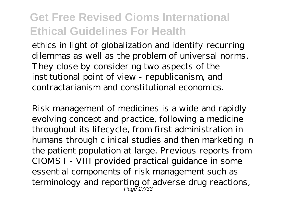ethics in light of globalization and identify recurring dilemmas as well as the problem of universal norms. They close by considering two aspects of the institutional point of view - republicanism, and contractarianism and constitutional economics.

Risk management of medicines is a wide and rapidly evolving concept and practice, following a medicine throughout its lifecycle, from first administration in humans through clinical studies and then marketing in the patient population at large. Previous reports from CIOMS I - VIII provided practical guidance in some essential components of risk management such as terminology and reporting of adverse drug reactions, Page 27/33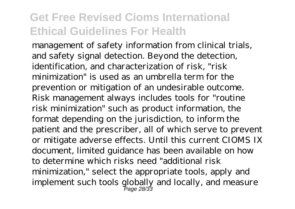management of safety information from clinical trials, and safety signal detection. Beyond the detection, identification, and characterization of risk, "risk minimization" is used as an umbrella term for the prevention or mitigation of an undesirable outcome. Risk management always includes tools for "routine risk minimization" such as product information, the format depending on the jurisdiction, to inform the patient and the prescriber, all of which serve to prevent or mitigate adverse effects. Until this current CIOMS IX document, limited guidance has been available on how to determine which risks need "additional risk minimization," select the appropriate tools, apply and implement such tools globally and locally, and measure Page 28/33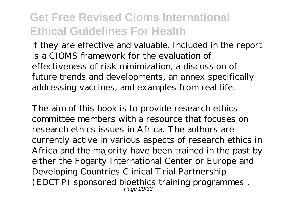if they are effective and valuable. Included in the report is a CIOMS framework for the evaluation of effectiveness of risk minimization, a discussion of future trends and developments, an annex specifically addressing vaccines, and examples from real life.

The aim of this book is to provide research ethics committee members with a resource that focuses on research ethics issues in Africa. The authors are currently active in various aspects of research ethics in Africa and the majority have been trained in the past by either the Fogarty International Center or Europe and Developing Countries Clinical Trial Partnership (EDCTP) sponsored bioethics training programmes . Page 29/33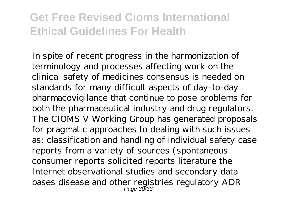In spite of recent progress in the harmonization of terminology and processes affecting work on the clinical safety of medicines consensus is needed on standards for many difficult aspects of day-to-day pharmacovigilance that continue to pose problems for both the pharmaceutical industry and drug regulators. The CIOMS V Working Group has generated proposals for pragmatic approaches to dealing with such issues as: classification and handling of individual safety case reports from a variety of sources (spontaneous consumer reports solicited reports literature the Internet observational studies and secondary data bases disease and other registries regulatory ADR Page 30/33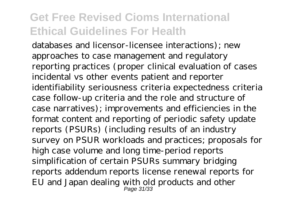databases and licensor-licensee interactions); new approaches to case management and regulatory reporting practices (proper clinical evaluation of cases incidental vs other events patient and reporter identifiability seriousness criteria expectedness criteria case follow-up criteria and the role and structure of case narratives); improvements and efficiencies in the format content and reporting of periodic safety update reports (PSURs) (including results of an industry survey on PSUR workloads and practices; proposals for high case volume and long time-period reports simplification of certain PSURs summary bridging reports addendum reports license renewal reports for EU and Japan dealing with old products and other Page 31/33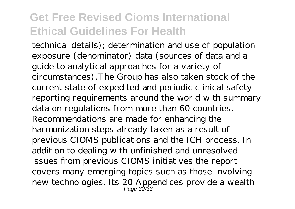technical details); determination and use of population exposure (denominator) data (sources of data and a guide to analytical approaches for a variety of circumstances).The Group has also taken stock of the current state of expedited and periodic clinical safety reporting requirements around the world with summary data on regulations from more than 60 countries. Recommendations are made for enhancing the harmonization steps already taken as a result of previous CIOMS publications and the ICH process. In addition to dealing with unfinished and unresolved issues from previous CIOMS initiatives the report covers many emerging topics such as those involving new technologies. Its 20 Appendices provide a wealth Page 32/33